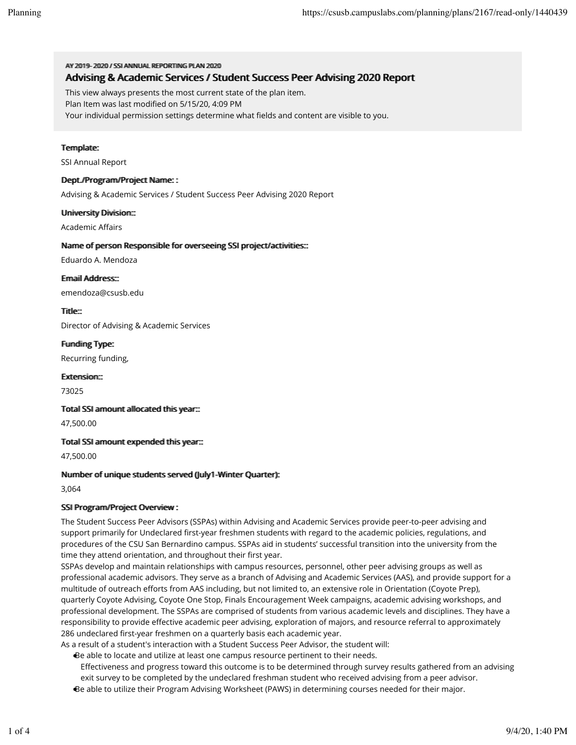### AV 20119-2002 // SSIANNIHAI REPORTING PILAN 2020 Advising & Academic Services / Student Success Peer Advising 2020 Report

This view always presents the most current state of the plan item.

Plan Item was last modified on 5/15/20, 4:09 PM

Your individual permission settings determine what fields and content are visible to you.

## Termplate:

SSI Annual Report

## Dept.//Program//Project Name: :

Advising & Academic Services / Student Success Peer Advising 2020 Report

## Umiiversiity Diiviisiiom:::

**Academic Affairs** 

## Name of person Responsible for overseeing SSI project/activities:::

Eduardo A. Mendoza

Ermaiil Address::

emendoza@csusb.edu

Tiitlle::

Director of Advising & Academic Services

Fundiing Type:

Recurring funding,

Extension::

73025

Totall SSI armount alllocated thiis year:::

47,500.00

#### Totall SSI armount expended thiis year:::

47,500.00

#### Nummber of umique students served (Jully1-Winter Quarter):

3,064

#### SSI Program/Project Overview :

The Student Success Peer Advisors (SSPAs) within Advising and Academic Services provide peer-to-peer advising and support primarily for Undeclared first-year freshmen students with regard to the academic policies, regulations, and procedures of the CSU San Bernardino campus. SSPAs aid in students' successful transition into the university from the time they attend orientation, and throughout their first year.

SSPAs develop and maintain relationships with campus resources, personnel, other peer advising groups as well as professional academic advisors. They serve as a branch of Advising and Academic Services (AAS), and provide support for a multitude of outreach efforts from AAS including, but not limited to, an extensive role in Orientation (Coyote Prep), quarterly Coyote Advising, Coyote One Stop, Finals Encouragement Week campaigns, academic advising workshops, and professional development. The SSPAs are comprised of students from various academic levels and disciplines. They have a responsibility to provide effective academic peer advising, exploration of majors, and resource referral to approximately 286 undeclared first-year freshmen on a quarterly basis each academic year.

As a result of a student's interaction with a Student Success Peer Advisor, the student will:

- Be able to locate and utilize at least one campus resource pertinent to their needs.
- Effectiveness and progress toward this outcome is to be determined through survey results gathered from an advising exit survey to be completed by the undeclared freshman student who received advising from a peer advisor. Be able to utilize their Program Advising Worksheet (PAWS) in determining courses needed for their major.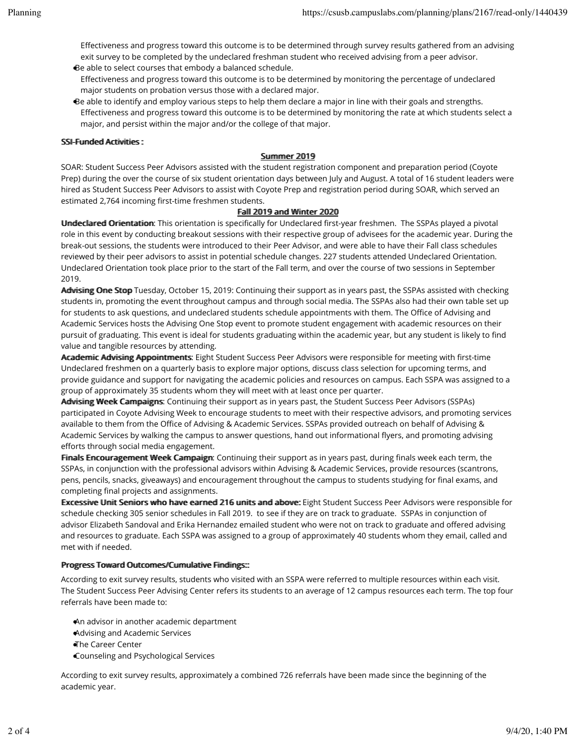Effectiveness and progress toward this outcome is to be determined through survey results gathered from an advising exit survey to be completed by the undeclared freshman student who received advising from a peer advisor. Be able to select courses that embody a balanced schedule.

- Effectiveness and progress toward this outcome is to be determined by monitoring the percentage of undeclared major students on probation versus those with a declared major.
- Be able to identify and employ various steps to help them declare a major in line with their goals and strengths. Effectiveness and progress toward this outcome is to be determined by monitoring the rate at which students select a major, and persist within the major and/or the college of that major.

## SSI-Fuunded Acttiviities:

## Summer 2019

SOAR: Student Success Peer Advisors assisted with the student registration component and preparation period (Coyote Prep) during the over the course of six student orientation days between July and August. A total of 16 student leaders were hired as Student Success Peer Advisors to assist with Coyote Prep and registration period during SOAR, which served an estimated 2,764 incoming first-time freshmen students.

# Falll 2019 and Winter 2020

Undeclared Orientation: This orientation is specifically for Undeclared first-year freshmen. The SSPAs played a pivotal role in this event by conducting breakout sessions with their respective group of advisees for the academic year. During the break-out sessions, the students were introduced to their Peer Advisor, and were able to have their Fall class schedules reviewed by their peer advisors to assist in potential schedule changes. 227 students attended Undeclared Orientation. Undeclared Orientation took place prior to the start of the Fall term, and over the course of two sessions in September 2019.

Advising One Stop Tuesday, October 15, 2019: Continuing their support as in years past, the SSPAs assisted with checking students in, promoting the event throughout campus and through social media. The SSPAs also had their own table set up for students to ask questions, and undeclared students schedule appointments with them. The Office of Advising and Academic Services hosts the Advising One Stop event to promote student engagement with academic resources on their pursuit of graduating. This event is ideal for students graduating within the academic year, but any student is likely to find value and tangible resources by attending.

Academic Advising Appointments: Eight Student Success Peer Advisors were responsible for meeting with first-time Undeclared freshmen on a quarterly basis to explore major options, discuss class selection for upcoming terms, and provide guidance and support for navigating the academic policies and resources on campus. Each SSPA was assigned to a group of approximately 35 students whom they will meet with at least once per quarter.

Advising Week Campaigns: Continuing their support as in years past, the Student Success Peer Advisors (SSPAs) participated in Coyote Advising Week to encourage students to meet with their respective advisors, and promoting services available to them from the Office of Advising & Academic Services. SSPAs provided outreach on behalf of Advising & Academic Services by walking the campus to answer questions, hand out informational flyers, and promoting advising efforts through social media engagement.

Finalls Encouragement Week Campaign: Continuing their support as in years past, during finals week each term, the SSPAs, in conjunction with the professional advisors within Advising & Academic Services, provide resources (scantrons, pens, pencils, snacks, giveaways) and encouragement throughout the campus to students studying for final exams, and completing final projects and assignments.

Excessive Unit Seniors who have earned 216 units and above: Eight Student Success Peer Advisors were responsible for schedule checking 305 senior schedules in Fall 2019. to see if they are on track to graduate. SSPAs in conjunction of advisor Elizabeth Sandoval and Erika Hernandez emailed student who were not on track to graduate and offered advising and resources to graduate. Each SSPA was assigned to a group of approximately 40 students whom they email, called and met with if needed.

## Progress Toward Outtcomes//Cumullatiive Fiindiings:::

According to exit survey results, students who visited with an SSPA were referred to multiple resources within each visit. The Student Success Peer Advising Center refers its students to an average of 12 campus resources each term. The top four referrals have been made to:

An advisor in another academic department

- Advising and Academic Services
- The Career Center
- Counseling and Psychological Services

According to exit survey results, approximately a combined 726 referrals have been made since the beginning of the academic year.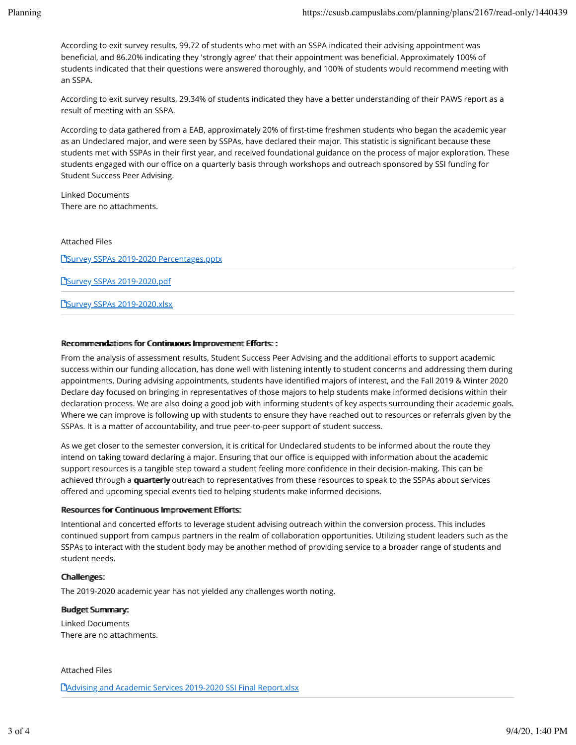According to exit survey results, 99.72 of students who met with an SSPA indicated their advising appointment was beneficial, and 86.20% indicating they 'strongly agree' that their appointment was beneficial. Approximately 100% of students indicated that their questions were answered thoroughly, and 100% of students would recommend meeting with an SSPA.

According to exit survey results, 29.34% of students indicated they have a better understanding of their PAWS report as a result of meeting with an SSPA.

According to data gathered from a EAB, approximately 20% of first-time freshmen students who began the academic year as an Undeclared major, and were seen by SSPAs, have declared their major. This statistic is significant because these students met with SSPAs in their first year, and received foundational guidance on the process of major exploration. These students engaged with our office on a quarterly basis through workshops and outreach sponsored by SSI funding for Student Success Peer Advising.

Linked Documents There are no attachments.

Attached Files

**PSurvey SSPAs 2019-2020 Percentages.pptx** 

**PSurvey SSPAs 2019-2020.pdf** 

**PSurvey SSPAs 2019-2020.xlsx** 

## Recommendations for Continuous Improvement Efforts::

From the analysis of assessment results, Student Success Peer Advising and the additional efforts to support academic success within our funding allocation, has done well with listening intently to student concerns and addressing them during appointments. During advising appointments, students have identified majors of interest, and the Fall 2019 & Winter 2020 Declare day focused on bringing in representatives of those majors to help students make informed decisions within their declaration process. We are also doing a good job with informing students of key aspects surrounding their academic goals. Where we can improve is following up with students to ensure they have reached out to resources or referrals given by the SSPAs. It is a matter of accountability, and true peer-to-peer support of student success.

As we get closer to the semester conversion, it is critical for Undeclared students to be informed about the route they intend on taking toward declaring a major. Ensuring that our office is equipped with information about the academic support resources is a tangible step toward a student feeling more confidence in their decision-making. This can be achieved through a quarterly outreach to representatives from these resources to speak to the SSPAs about services offered and upcoming special events tied to helping students make informed decisions.

## Resources for Contiinuous Improverment Efforts:

Intentional and concerted efforts to leverage student advising outreach within the conversion process. This includes continued support from campus partners in the realm of collaboration opportunities. Utilizing student leaders such as the SSPAs to interact with the student body may be another method of providing service to a broader range of students and student needs.

# Challlenges:

The 2019-2020 academic year has not yielded any challenges worth noting.

## Budget Summmary:

Linked Documents There are no attachments.

## Attached Files

**C**)Advising and Academic Services 2019-2020 SSI Final Report.xlsx